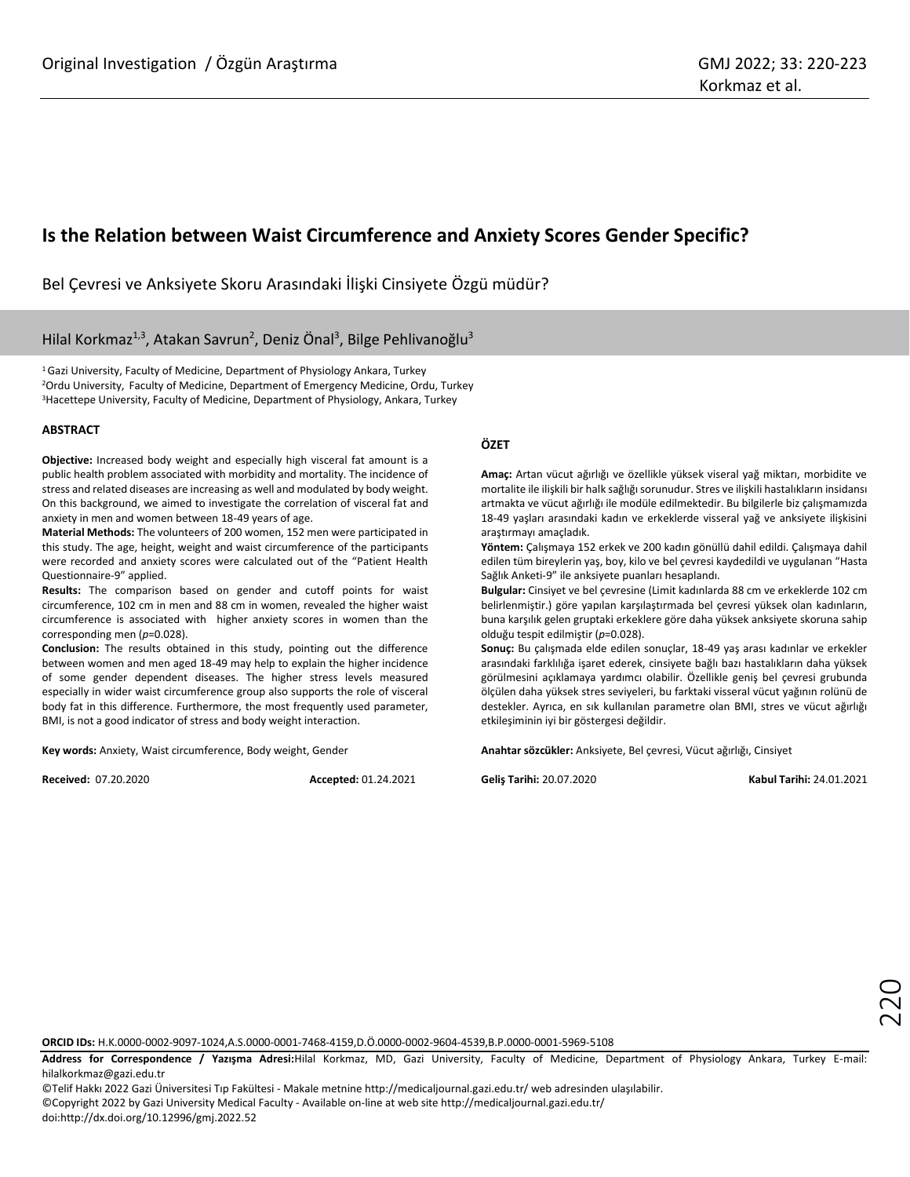# **Is the Relation between Waist Circumference and Anxiety Scores Gender Specific?**

Bel Çevresi ve Anksiyete Skoru Arasındaki İlişki Cinsiyete Özgü müdür?

# Hilal Korkmaz<sup>1,3</sup>, Atakan Savrun<sup>2</sup>, Deniz Önal<sup>3</sup>, Bilge Pehlivanoğlu<sup>3</sup>

<sup>1</sup>Gazi University, Faculty of Medicine, Department of Physiology Ankara, Turkey <sup>2</sup>Ordu University, Faculty of Medicine, Department of Emergency Medicine, Ordu, Turkey <sup>3</sup>Hacettepe University, Faculty of Medicine, Department of Physiology, Ankara, Turkey

#### **ABSTRACT**

**Objective:** Increased body weight and especially high visceral fat amount is a public health problem associated with morbidity and mortality. The incidence of stress and related diseases are increasing as well and modulated by body weight. On this background, we aimed to investigate the correlation of visceral fat and anxiety in men and women between 18-49 years of age.

**Material Methods:** The volunteers of 200 women, 152 men were participated in this study. The age, height, weight and waist circumference of the participants were recorded and anxiety scores were calculated out of the "Patient Health Questionnaire-9" applied.

**Results:** The comparison based on gender and cutoff points for waist circumference, 102 cm in men and 88 cm in women, revealed the higher waist circumference is associated with higher anxiety scores in women than the corresponding men (*p*=0.028).

**Conclusion:** The results obtained in this study, pointing out the difference between women and men aged 18-49 may help to explain the higher incidence of some gender dependent diseases. The higher stress levels measured especially in wider waist circumference group also supports the role of visceral body fat in this difference. Furthermore, the most frequently used parameter, BMI, is not a good indicator of stress and body weight interaction.

**Key words:** Anxiety, Waist circumference, Body weight, Gender

**Received:** 07.20.2020 **Accepted:** 01.24.2021

#### **ÖZET**

**Amaç:** Artan vücut ağırlığı ve özellikle yüksek viseral yağ miktarı, morbidite ve mortalite ile ilişkili bir halk sağlığı sorunudur. Stres ve ilişkili hastalıkların insidansı artmakta ve vücut ağırlığı ile modüle edilmektedir. Bu bilgilerle biz çalışmamızda 18-49 yaşları arasındaki kadın ve erkeklerde visseral yağ ve anksiyete ilişkisini araştırmayı amaçladık.

**Yöntem:** Çalışmaya 152 erkek ve 200 kadın gönüllü dahil edildi. Çalışmaya dahil edilen tüm bireylerin yaş, boy, kilo ve bel çevresi kaydedildi ve uygulanan "Hasta Sağlık Anketi-9" ile anksiyete puanları hesaplandı.

**Bulgular:** Cinsiyet ve bel çevresine (Limit kadınlarda 88 cm ve erkeklerde 102 cm belirlenmiştir.) göre yapılan karşılaştırmada bel çevresi yüksek olan kadınların, buna karşılık gelen gruptaki erkeklere göre daha yüksek anksiyete skoruna sahip olduğu tespit edilmiştir (*p*=0.028).

**Sonuç:** Bu çalışmada elde edilen sonuçlar, 18-49 yaş arası kadınlar ve erkekler arasındaki farklılığa işaret ederek, cinsiyete bağlı bazı hastalıkların daha yüksek görülmesini açıklamaya yardımcı olabilir. Özellikle geniş bel çevresi grubunda ölçülen daha yüksek stres seviyeleri, bu farktaki visseral vücut yağının rolünü de destekler. Ayrıca, en sık kullanılan parametre olan BMI, stres ve vücut ağırlığı etkileşiminin iyi bir göstergesi değildir.

**Anahtar sözcükler:** Anksiyete, Bel çevresi, Vücut ağırlığı, Cinsiyet

**Geliş Tarihi:** 20.07.2020 **Kabul Tarihi:** 24.01.2021

220

**ORCID IDs:** H.K.0000-0002-9097-1024,A.S.0000-0001-7468-4159,D.Ö.0000-0002-9604-4539,B.P.0000-0001-5969-5108

**Address for Correspondence / Yazışma Adresi:**Hilal Korkmaz, MD, Gazi University, Faculty of Medicine, Department of Physiology Ankara, Turkey E-mail: [hilalkorkmaz@gazi.edu.tr](mailto:hilalkorkmaz@gazi.edu.tr)

©Telif Hakkı 2022 Gazi Üniversitesi Tıp Fakültesi - Makale metnine http://medicaljournal.gazi.edu.tr/ web adresinden ulaşılabilir. ©Copyright 2022 by Gazi University Medical Faculty - Available on-line at web site http://medicaljournal.gazi.edu.tr/ doi:http://dx.doi.org/10.12996/gmj.2022.52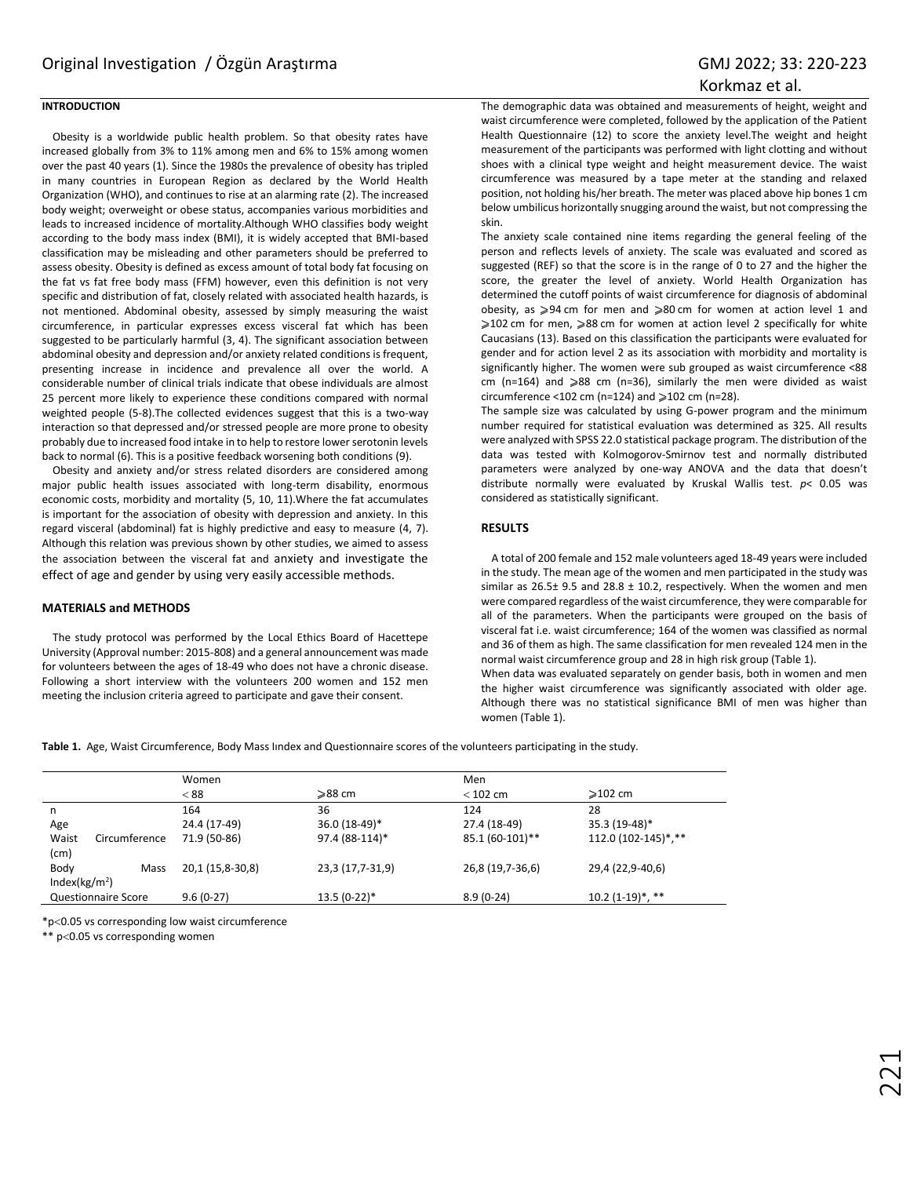## **INTRODUCTION**

Obesity is a worldwide public health problem. So that obesity rates have increased globally from 3% to 11% among men and 6% to 15% among women over the past 40 years [\(1\).](file:///C:/Users/Exper/Downloads/gmj20223/yazardan%20geldi%20-%20Kopya/2694-ORRE.docx%23_ENREF_1) Since the 1980s the prevalence of obesity has tripled in many countries in European Region as declared by the World Health Organization (WHO), and continues to rise at an alarming rate [\(2\)](file:///C:/Users/Exper/Downloads/gmj20223/yazardan%20geldi%20-%20Kopya/2694-ORRE.docx%23_ENREF_2). The increased body weight; overweight or obese status, accompanies various morbidities and leads to increased incidence of mortality.Although WHO classifies body weight according to the body mass index (BMI), it is widely accepted that BMI-based classification may be misleading and other parameters should be preferred to assess obesity. Obesity is defined as excess amount of total body fat focusing on the fat vs fat free body mass (FFM) however, even this definition is not very specific and distribution of fat, closely related with associated health hazards, is not mentioned. Abdominal obesity, assessed by simply measuring the waist circumference, in particular expresses excess visceral fat which has been suggested to be particularly harmful [\(3,](file:///C:/Users/Exper/Downloads/gmj20223/yazardan%20geldi%20-%20Kopya/2694-ORRE.docx%23_ENREF_3) [4\)](file:///C:/Users/Exper/Downloads/gmj20223/yazardan%20geldi%20-%20Kopya/2694-ORRE.docx%23_ENREF_4). The significant association between abdominal obesity and depression and/or anxiety related conditions is frequent, presenting increase in incidence and prevalence all over the world. A considerable number of clinical trials indicate that obese individuals are almost 25 percent more likely to experience these conditions compared with normal weighted people [\(5-8\)](file:///C:/Users/Exper/Downloads/gmj20223/yazardan%20geldi%20-%20Kopya/2694-ORRE.docx%23_ENREF_5).The collected evidences suggest that this is a two-way interaction so that depressed and/or stressed people are more prone to obesity probably due to increased food intake in to help to restore lower serotonin levels back to normal [\(6\).](file:///C:/Users/Exper/Downloads/gmj20223/yazardan%20geldi%20-%20Kopya/2694-ORRE.docx%23_ENREF_6) This is a positive feedback worsening both conditions [\(9\)](file:///C:/Users/Exper/Downloads/gmj20223/yazardan%20geldi%20-%20Kopya/2694-ORRE.docx%23_ENREF_9).

Obesity and anxiety and/or stress related disorders are considered among major public health issues associated with long-term disability, enormous economic costs, morbidity and mortality [\(5,](file:///C:/Users/Exper/Downloads/gmj20223/yazardan%20geldi%20-%20Kopya/2694-ORRE.docx%23_ENREF_5) [10,](file:///C:/Users/Exper/Downloads/gmj20223/yazardan%20geldi%20-%20Kopya/2694-ORRE.docx%23_ENREF_10) [11\).](file:///C:/Users/Exper/Downloads/gmj20223/yazardan%20geldi%20-%20Kopya/2694-ORRE.docx%23_ENREF_11)Where the fat accumulates is important for the association of obesity with depression and anxiety. In this regard visceral (abdominal) fat is highly predictive and easy to measure [\(4,](file:///C:/Users/Exper/Downloads/gmj20223/yazardan%20geldi%20-%20Kopya/2694-ORRE.docx%23_ENREF_4) [7\)](file:///C:/Users/Exper/Downloads/gmj20223/yazardan%20geldi%20-%20Kopya/2694-ORRE.docx%23_ENREF_7). Although this relation was previous shown by other studies, we aimed to assess the association between the visceral fat and anxiety and investigate the effect of age and gender by using very easily accessible methods.

#### **MATERIALS and METHODS**

The study protocol was performed by the Local Ethics Board of Hacettepe University (Approval number: 2015-808) and a general announcement was made for volunteers between the ages of 18-49 who does not have a chronic disease. Following a short interview with the volunteers 200 women and 152 men meeting the inclusion criteria agreed to participate and gave their consent.

The demographic data was obtained and measurements of height, weight and waist circumference were completed, followed by the application of the Patient Health Questionnaire [\(12\)](file:///C:/Users/Exper/Downloads/gmj20223/yazardan%20geldi%20-%20Kopya/2694-ORRE.docx%23_ENREF_12) to score the anxiety level.The weight and height measurement of the participants was performed with light clotting and without shoes with a clinical type weight and height measurement device. The waist circumference was measured by a tape meter at the standing and relaxed position, not holding his/her breath. The meter was placed above hip bones 1 cm below umbilicus horizontally snugging around the waist, but not compressing the skin.

The anxiety scale contained nine items regarding the general feeling of the person and reflects levels of anxiety. The scale was evaluated and scored as suggested (REF) so that the score is in the range of 0 to 27 and the higher the score, the greater the level of anxiety. World Health Organization has determined the cutoff points of waist circumference for diagnosis of abdominal obesity, as ⩾94 cm for men and ⩾80 cm for women at action level 1 and ≥102 cm for men, ≥88 cm for women at action level 2 specifically for white Caucasians [\(13\)](file:///C:/Users/Exper/Downloads/gmj20223/yazardan%20geldi%20-%20Kopya/2694-ORRE.docx%23_ENREF_13). Based on this classification the participants were evaluated for gender and for action level 2 as its association with morbidity and mortality is significantly higher. The women were sub grouped as waist circumference <88 cm (n=164) and  $\geqslant$ 88 cm (n=36), similarly the men were divided as waist circumference <102 cm (n=124) and  $\ge$ 102 cm (n=28).

The sample size was calculated by using G-power program and the minimum number required for statistical evaluation was determined as 325. All results were analyzed with SPSS 22.0 statistical package program. The distribution of the data was tested with Kolmogorov-Smirnov test and normally distributed parameters were analyzed by one-way ANOVA and the data that doesn't distribute normally were evaluated by Kruskal Wallis test. *p*< 0.05 was considered as statistically significant.

#### **RESULTS**

A total of 200 female and 152 male volunteers aged 18-49 years were included in the study. The mean age of the women and men participated in the study was similar as 26.5± 9.5 and 28.8 ± 10.2, respectively. When the women and men were compared regardless of the waist circumference, they were comparable for all of the parameters. When the participants were grouped on the basis of visceral fat i.e. waist circumference; 164 of the women was classified as normal and 36 of them as high. The same classification for men revealed 124 men in the normal waist circumference group and 28 in high risk group (Table 1).

When data was evaluated separately on gender basis, both in women and men the higher waist circumference was significantly associated with older age. Although there was no statistical significance BMI of men was higher than women (Table 1).

**Table 1.** Age, Waist Circumference, Body Mass Iındex and Questionnaire scores of the volunteers participating in the study.

|                                |      | Women            |                  | Men              |                     |
|--------------------------------|------|------------------|------------------|------------------|---------------------|
|                                |      | < 88             | ≥88 cm           | $<$ 102 cm       | $\geqslant$ 102 cm  |
| n                              |      | 164              | 36               | 124              | 28                  |
| Age                            |      | 24.4 (17-49)     | 36.0 (18-49)*    | 27.4 (18-49)     | 35.3 (19-48)*       |
| Waist<br>Circumference<br>(cm) |      | 71.9 (50-86)     | 97.4 (88-114)*   | 85.1 (60-101)**  | 112.0 (102-145)*,** |
| Body<br>Index( $kg/m2$ )       | Mass | 20,1 (15,8-30,8) | 23,3 (17,7-31,9) | 26,8 (19,7-36,6) | 29,4 (22,9-40,6)    |
| Questionnaire Score            |      | $9.6(0-27)$      | $13.5(0-22)*$    | $8.9(0-24)$      | $10.2(1-19)^*,$ **  |

\*p<0.05 vs corresponding low waist circumference

\*\* p<0.05 vs corresponding women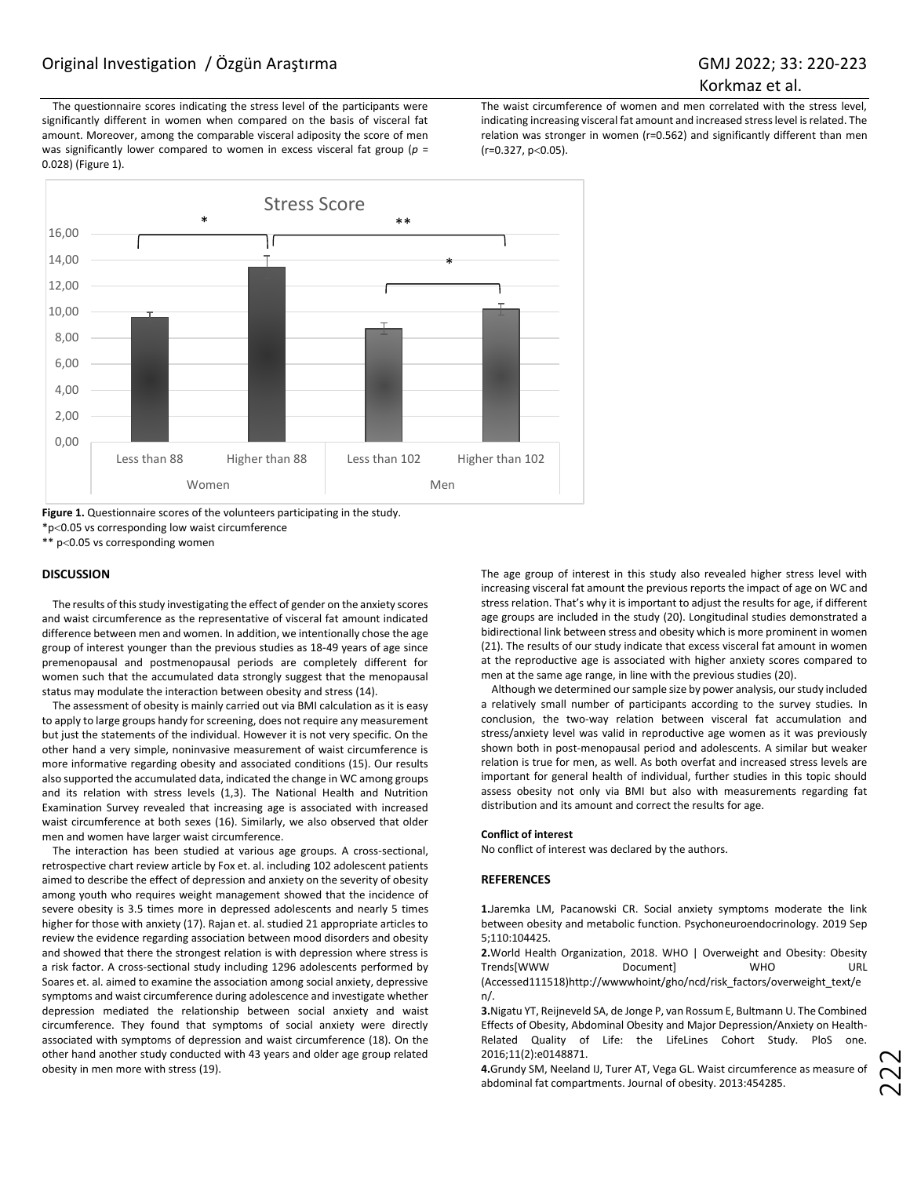The questionnaire scores indicating the stress level of the participants were significantly different in women when compared on the basis of visceral fat amount. Moreover, among the comparable visceral adiposity the score of men was significantly lower compared to women in excess visceral fat group (*p* = 0.028) (Figure 1).

The waist circumference of women and men correlated with the stress level, indicating increasing visceral fat amount and increased stress level is related. The relation was stronger in women (r=0.562) and significantly different than men  $(r=0.327, p<0.05)$ .



**Figure 1.** Questionnaire scores of the volunteers participating in the study. \*p0.05 vs corresponding low waist circumference

\*\* p<0.05 vs corresponding women

#### **DISCUSSION**

The results of this study investigating the effect of gender on the anxiety scores and waist circumference as the representative of visceral fat amount indicated difference between men and women. In addition, we intentionally chose the age group of interest younger than the previous studies as 18-49 years of age since premenopausal and postmenopausal periods are completely different for women such that the accumulated data strongly suggest that the menopausal status may modulate the interaction between obesity and stress [\(14\)](file:///C:/Users/Exper/Downloads/gmj20223/yazardan%20geldi%20-%20Kopya/2694-ORRE.docx%23_ENREF_14).

The assessment of obesity is mainly carried out via BMI calculation as it is easy to apply to large groups handy for screening, does not require any measurement but just the statements of the individual. However it is not very specific. On the other hand a very simple, noninvasive measurement of waist circumference is more informative regarding obesity and associated conditions [\(15\).](file:///C:/Users/Exper/Downloads/gmj20223/yazardan%20geldi%20-%20Kopya/2694-ORRE.docx%23_ENREF_15) Our results also supported the accumulated data, indicated the change in WC among groups and its relation with stress levels (1,3). The National Health and Nutrition Examination Survey revealed that increasing age is associated with increased waist circumference at both sexes [\(16\).](file:///C:/Users/Exper/Downloads/gmj20223/yazardan%20geldi%20-%20Kopya/2694-ORRE.docx%23_ENREF_16) Similarly, we also observed that older men and women have larger waist circumference.

The interaction has been studied at various age groups. A cross-sectional, retrospective chart review article by Fox et. al. including 102 adolescent patients aimed to describe the effect of depression and anxiety on the severity of obesity among youth who requires weight management showed that the incidence of severe obesity is 3.5 times more in depressed adolescents and nearly 5 times higher for those with anxiety [\(17\)](file:///C:/Users/Exper/Downloads/gmj20223/yazardan%20geldi%20-%20Kopya/2694-ORRE.docx%23_ENREF_17). Rajan et. al. studied 21 appropriate articles to review the evidence regarding association between mood disorders and obesity and showed that there the strongest relation is with depression where stress is a risk factor. A cross-sectional study including 1296 adolescents performed by Soares et. al. aimed to examine the association among social anxiety, depressive symptoms and waist circumference during adolescence and investigate whether depression mediated the relationship between social anxiety and waist circumference. They found that symptoms of social anxiety were directly associated with symptoms of depression and waist circumference [\(18\)](file:///C:/Users/Exper/Downloads/gmj20223/yazardan%20geldi%20-%20Kopya/2694-ORRE.docx%23_ENREF_18). On the other hand another study conducted with 43 years and older age group related obesity in men more with stress [\(19\)](file:///C:/Users/Exper/Downloads/gmj20223/yazardan%20geldi%20-%20Kopya/2694-ORRE.docx%23_ENREF_19).

The age group of interest in this study also revealed higher stress level with increasing visceral fat amount the previous reports the impact of age on WC and stress relation. That's why it is important to adjust the results for age, if different age groups are included in the study [\(20\)](file:///C:/Users/Exper/Downloads/gmj20223/yazardan%20geldi%20-%20Kopya/2694-ORRE.docx%23_ENREF_20). Longitudinal studies demonstrated a bidirectional link between stress and obesity which is more prominent in women [\(21\)](file:///C:/Users/Exper/Downloads/gmj20223/yazardan%20geldi%20-%20Kopya/2694-ORRE.docx%23_ENREF_21). The results of our study indicate that excess visceral fat amount in women at the reproductive age is associated with higher anxiety scores compared to men at the same age range, in line with the previous studies [\(20\)](file:///C:/Users/Exper/Downloads/gmj20223/yazardan%20geldi%20-%20Kopya/2694-ORRE.docx%23_ENREF_20).

Although we determined our sample size by power analysis, our study included a relatively small number of participants according to the survey studies. In conclusion, the two-way relation between visceral fat accumulation and stress/anxiety level was valid in reproductive age women as it was previously shown both in post-menopausal period and adolescents. A similar but weaker relation is true for men, as well. As both overfat and increased stress levels are important for general health of individual, further studies in this topic should assess obesity not only via BMI but also with measurements regarding fat distribution and its amount and correct the results for age.

#### **Conflict of interest**

No conflict of interest was declared by the authors.

#### **REFERENCES**

**1.**Jaremka LM, Pacanowski CR. Social anxiety symptoms moderate the link between obesity and metabolic function. Psychoneuroendocrinology. 2019 Sep 5;110:104425.

**2.**World Health Organization, 2018. WHO | Overweight and Obesity: Obesity Trends[WWW Document] WHO URL (Accessed11151[8\)http://wwwwhoint/gho/ncd/risk\\_factors/overweight\\_text/e](http://wwwwhoint/gho/ncd/risk_factors/overweight_text/en/) [n/.](http://wwwwhoint/gho/ncd/risk_factors/overweight_text/en/)

**3.**Nigatu YT, Reijneveld SA, de Jonge P, van Rossum E, Bultmann U. The Combined Effects of Obesity, Abdominal Obesity and Major Depression/Anxiety on Health-Related Quality of Life: the LifeLines Cohort Study. PloS one. 2016;11(2):e0148871.

**4.**Grundy SM, Neeland IJ, Turer AT, Vega GL. Waist circumference as measure of abdominal fat compartments. Journal of obesity. 2013:454285.

22<br>2